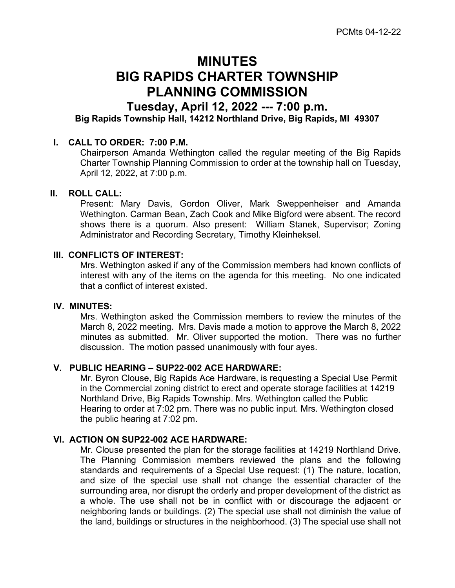# MINUTES BIG RAPIDS CHARTER TOWNSHIP PLANNING COMMISSION

# Tuesday, April 12, 2022 --- 7:00 p.m.

Big Rapids Township Hall, 14212 Northland Drive, Big Rapids, MI 49307

## I. CALL TO ORDER: 7:00 P.M.

Chairperson Amanda Wethington called the regular meeting of the Big Rapids Charter Township Planning Commission to order at the township hall on Tuesday, April 12, 2022, at 7:00 p.m.

#### II. ROLL CALL:

Present: Mary Davis, Gordon Oliver, Mark Sweppenheiser and Amanda Wethington. Carman Bean, Zach Cook and Mike Bigford were absent. The record shows there is a quorum. Also present: William Stanek, Supervisor; Zoning Administrator and Recording Secretary, Timothy Kleinheksel.

#### III. CONFLICTS OF INTEREST:

Mrs. Wethington asked if any of the Commission members had known conflicts of interest with any of the items on the agenda for this meeting. No one indicated that a conflict of interest existed.

#### IV. MINUTES:

Mrs. Wethington asked the Commission members to review the minutes of the March 8, 2022 meeting. Mrs. Davis made a motion to approve the March 8, 2022 minutes as submitted. Mr. Oliver supported the motion. There was no further discussion. The motion passed unanimously with four ayes.

# V. PUBLIC HEARING – SUP22-002 ACE HARDWARE:

Mr. Byron Clouse, Big Rapids Ace Hardware, is requesting a Special Use Permit in the Commercial zoning district to erect and operate storage facilities at 14219 Northland Drive, Big Rapids Township. Mrs. Wethington called the Public Hearing to order at 7:02 pm. There was no public input. Mrs. Wethington closed the public hearing at 7:02 pm.

#### VI. ACTION ON SUP22-002 ACE HARDWARE:

Mr. Clouse presented the plan for the storage facilities at 14219 Northland Drive. The Planning Commission members reviewed the plans and the following standards and requirements of a Special Use request: (1) The nature, location, and size of the special use shall not change the essential character of the surrounding area, nor disrupt the orderly and proper development of the district as a whole. The use shall not be in conflict with or discourage the adjacent or neighboring lands or buildings. (2) The special use shall not diminish the value of the land, buildings or structures in the neighborhood. (3) The special use shall not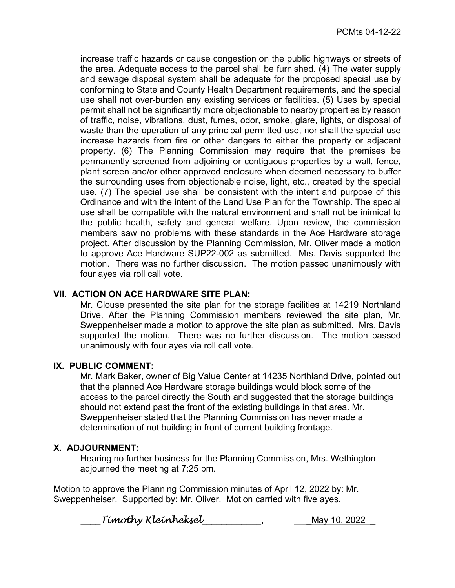increase traffic hazards or cause congestion on the public highways or streets of the area. Adequate access to the parcel shall be furnished. (4) The water supply and sewage disposal system shall be adequate for the proposed special use by conforming to State and County Health Department requirements, and the special use shall not over-burden any existing services or facilities. (5) Uses by special permit shall not be significantly more objectionable to nearby properties by reason of traffic, noise, vibrations, dust, fumes, odor, smoke, glare, lights, or disposal of waste than the operation of any principal permitted use, nor shall the special use increase hazards from fire or other dangers to either the property or adjacent property. (6) The Planning Commission may require that the premises be permanently screened from adjoining or contiguous properties by a wall, fence, plant screen and/or other approved enclosure when deemed necessary to buffer the surrounding uses from objectionable noise, light, etc., created by the special use. (7) The special use shall be consistent with the intent and purpose of this Ordinance and with the intent of the Land Use Plan for the Township. The special use shall be compatible with the natural environment and shall not be inimical to the public health, safety and general welfare. Upon review, the commission members saw no problems with these standards in the Ace Hardware storage project. After discussion by the Planning Commission, Mr. Oliver made a motion to approve Ace Hardware SUP22-002 as submitted. Mrs. Davis supported the motion. There was no further discussion. The motion passed unanimously with four ayes via roll call vote.

# VII. ACTION ON ACE HARDWARE SITE PLAN:

Mr. Clouse presented the site plan for the storage facilities at 14219 Northland Drive. After the Planning Commission members reviewed the site plan, Mr. Sweppenheiser made a motion to approve the site plan as submitted. Mrs. Davis supported the motion. There was no further discussion. The motion passed unanimously with four ayes via roll call vote.

## IX. PUBLIC COMMENT:

Mr. Mark Baker, owner of Big Value Center at 14235 Northland Drive, pointed out that the planned Ace Hardware storage buildings would block some of the access to the parcel directly the South and suggested that the storage buildings should not extend past the front of the existing buildings in that area. Mr. Sweppenheiser stated that the Planning Commission has never made a determination of not building in front of current building frontage.

## X. ADJOURNMENT:

Hearing no further business for the Planning Commission, Mrs. Wethington adjourned the meeting at 7:25 pm.

Motion to approve the Planning Commission minutes of April 12, 2022 by: Mr. Sweppenheiser. Supported by: Mr. Oliver. Motion carried with five ayes.

 $Timothy$  Kleinheksel and the sum of the May 10, 2022